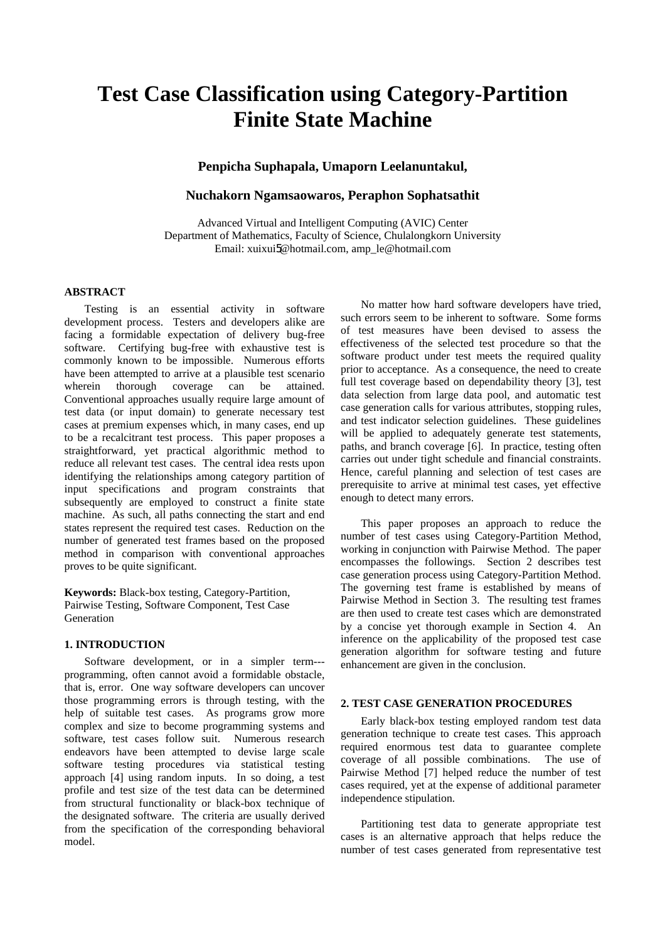# **Test Case Classification using Category-Partition Finite State Machine**

**Penpicha Suphapala, Umaporn Leelanuntakul,** 

# **Nuchakorn Ngamsaowaros, Peraphon Sophatsathit**

Advanced Virtual and Intelligent Computing (AVIC) Center Department of Mathematics, Faculty of Science, Chulalongkorn University Email: xuixui5@hotmail.com, amp\_le@hotmail.com

# **ABSTRACT**

Testing is an essential activity in software development process. Testers and developers alike are facing a formidable expectation of delivery bug-free software. Certifying bug-free with exhaustive test is commonly known to be impossible. Numerous efforts have been attempted to arrive at a plausible test scenario wherein thorough coverage can be attained. Conventional approaches usually require large amount of test data (or input domain) to generate necessary test cases at premium expenses which, in many cases, end up to be a recalcitrant test process. This paper proposes a straightforward, yet practical algorithmic method to reduce all relevant test cases. The central idea rests upon identifying the relationships among category partition of input specifications and program constraints that subsequently are employed to construct a finite state machine. As such, all paths connecting the start and end states represent the required test cases. Reduction on the number of generated test frames based on the proposed method in comparison with conventional approaches proves to be quite significant.

**Keywords:** Black-box testing, Category-Partition, Pairwise Testing, Software Component, Test Case Generation

# **1. INTRODUCTION**

Software development, or in a simpler term-- programming, often cannot avoid a formidable obstacle, that is, error. One way software developers can uncover those programming errors is through testing, with the help of suitable test cases. As programs grow more complex and size to become programming systems and software, test cases follow suit. Numerous research endeavors have been attempted to devise large scale software testing procedures via statistical testing approach [4] using random inputs. In so doing, a test profile and test size of the test data can be determined from structural functionality or black-box technique of the designated software. The criteria are usually derived from the specification of the corresponding behavioral model.

No matter how hard software developers have tried, such errors seem to be inherent to software. Some forms of test measures have been devised to assess the effectiveness of the selected test procedure so that the software product under test meets the required quality prior to acceptance. As a consequence, the need to create full test coverage based on dependability theory [3], test data selection from large data pool, and automatic test case generation calls for various attributes, stopping rules, and test indicator selection guidelines. These guidelines will be applied to adequately generate test statements, paths, and branch coverage [6]. In practice, testing often carries out under tight schedule and financial constraints. Hence, careful planning and selection of test cases are prerequisite to arrive at minimal test cases, yet effective enough to detect many errors.

This paper proposes an approach to reduce the number of test cases using Category-Partition Method, working in conjunction with Pairwise Method. The paper encompasses the followings. Section 2 describes test case generation process using Category-Partition Method. The governing test frame is established by means of Pairwise Method in Section 3. The resulting test frames are then used to create test cases which are demonstrated by a concise yet thorough example in Section 4. An inference on the applicability of the proposed test case generation algorithm for software testing and future enhancement are given in the conclusion.

### **2. TEST CASE GENERATION PROCEDURES**

Early black-box testing employed random test data generation technique to create test cases. This approach required enormous test data to guarantee complete coverage of all possible combinations. The use of Pairwise Method [7] helped reduce the number of test cases required, yet at the expense of additional parameter independence stipulation.

Partitioning test data to generate appropriate test cases is an alternative approach that helps reduce the number of test cases generated from representative test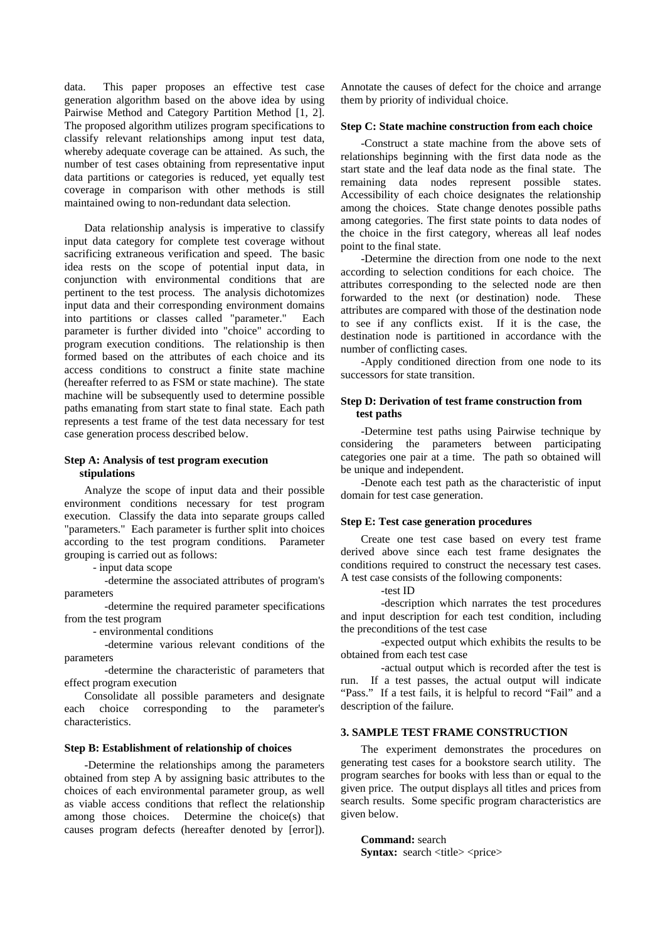data. This paper proposes an effective test case generation algorithm based on the above idea by using Pairwise Method and Category Partition Method [1, 2]. The proposed algorithm utilizes program specifications to classify relevant relationships among input test data, whereby adequate coverage can be attained. As such, the number of test cases obtaining from representative input data partitions or categories is reduced, yet equally test coverage in comparison with other methods is still maintained owing to non-redundant data selection.

Data relationship analysis is imperative to classify input data category for complete test coverage without sacrificing extraneous verification and speed. The basic idea rests on the scope of potential input data, in conjunction with environmental conditions that are pertinent to the test process. The analysis dichotomizes input data and their corresponding environment domains into partitions or classes called "parameter." Each parameter is further divided into "choice" according to program execution conditions. The relationship is then formed based on the attributes of each choice and its access conditions to construct a finite state machine (hereafter referred to as FSM or state machine). The state machine will be subsequently used to determine possible paths emanating from start state to final state. Each path represents a test frame of the test data necessary for test case generation process described below.

# **Step A: Analysis of test program execution stipulations**

Analyze the scope of input data and their possible environment conditions necessary for test program execution. Classify the data into separate groups called "parameters." Each parameter is further split into choices according to the test program conditions. Parameter grouping is carried out as follows:

- input data scope

 -determine the associated attributes of program's parameters

 -determine the required parameter specifications from the test program

- environmental conditions

 -determine various relevant conditions of the parameters

 -determine the characteristic of parameters that effect program execution

Consolidate all possible parameters and designate each choice corresponding to the parameter's characteristics.

### **Step B: Establishment of relationship of choices**

-Determine the relationships among the parameters obtained from step A by assigning basic attributes to the choices of each environmental parameter group, as well as viable access conditions that reflect the relationship among those choices. Determine the choice(s) that causes program defects (hereafter denoted by [error]).

Annotate the causes of defect for the choice and arrange them by priority of individual choice.

### **Step C: State machine construction from each choice**

-Construct a state machine from the above sets of relationships beginning with the first data node as the start state and the leaf data node as the final state. The remaining data nodes represent possible states. Accessibility of each choice designates the relationship among the choices. State change denotes possible paths among categories. The first state points to data nodes of the choice in the first category, whereas all leaf nodes point to the final state.

-Determine the direction from one node to the next according to selection conditions for each choice. The attributes corresponding to the selected node are then forwarded to the next (or destination) node. These attributes are compared with those of the destination node to see if any conflicts exist. If it is the case, the destination node is partitioned in accordance with the number of conflicting cases.

-Apply conditioned direction from one node to its successors for state transition.

# **Step D: Derivation of test frame construction from test paths**

-Determine test paths using Pairwise technique by considering the parameters between participating categories one pair at a time. The path so obtained will be unique and independent.

-Denote each test path as the characteristic of input domain for test case generation.

# **Step E: Test case generation procedures**

Create one test case based on every test frame derived above since each test frame designates the conditions required to construct the necessary test cases. A test case consists of the following components:

-test ID

 -description which narrates the test procedures and input description for each test condition, including the preconditions of the test case

 -expected output which exhibits the results to be obtained from each test case

 -actual output which is recorded after the test is run. If a test passes, the actual output will indicate "Pass." If a test fails, it is helpful to record "Fail" and a description of the failure.

### **3. SAMPLE TEST FRAME CONSTRUCTION**

The experiment demonstrates the procedures on generating test cases for a bookstore search utility. The program searches for books with less than or equal to the given price. The output displays all titles and prices from search results. Some specific program characteristics are given below.

**Command:** search **Syntax:** search <title> <price>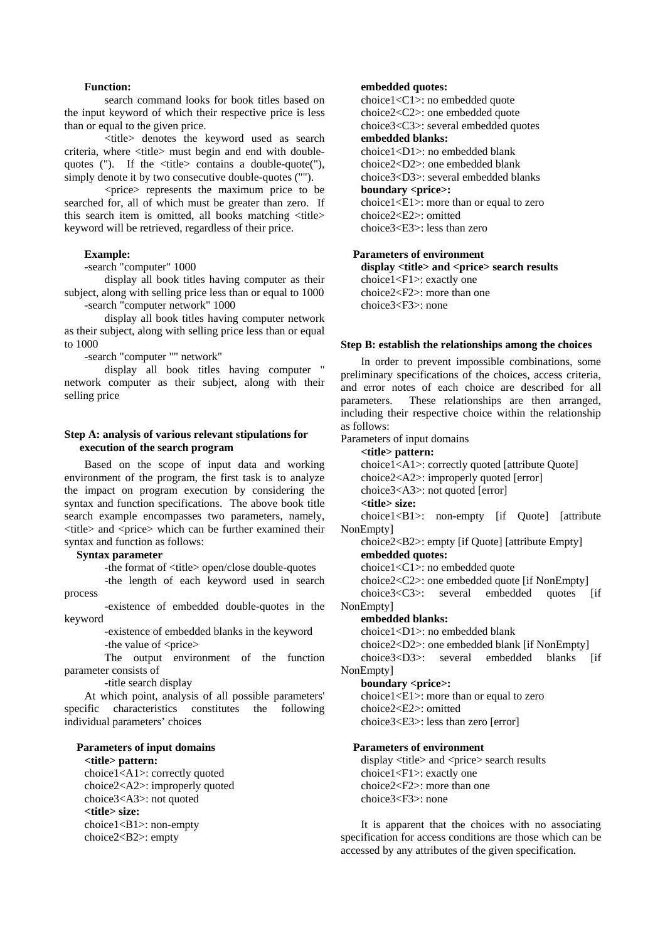## **Function:**

 search command looks for book titles based on the input keyword of which their respective price is less than or equal to the given price.

 <title> denotes the keyword used as search criteria, where <title> must begin and end with doublequotes ("). If the  $\lt$ title  $\gt$  contains a double-quote ("), simply denote it by two consecutive double-quotes ("").

 <price> represents the maximum price to be searched for, all of which must be greater than zero. If this search item is omitted, all books matching  $\langle$ title $>$ keyword will be retrieved, regardless of their price.

### **Example:**

-search "computer" 1000

 display all book titles having computer as their subject, along with selling price less than or equal to 1000 -search "computer network" 1000

 display all book titles having computer network as their subject, along with selling price less than or equal to 1000

-search "computer "" network"

 display all book titles having computer " network computer as their subject, along with their selling price

# **Step A: analysis of various relevant stipulations for execution of the search program**

Based on the scope of input data and working environment of the program, the first task is to analyze the impact on program execution by considering the syntax and function specifications. The above book title search example encompasses two parameters, namely, <title> and <price> which can be further examined their syntax and function as follows:

# **Syntax parameter**

-the format of <title> open/close double-quotes

 -the length of each keyword used in search process

 -existence of embedded double-quotes in the keyword

 -existence of embedded blanks in the keyword -the value of <price>

 The output environment of the function parameter consists of

-title search display

At which point, analysis of all possible parameters' specific characteristics constitutes the following individual parameters' choices

# **Parameters of input domains**

**<title> pattern:**  choice1<A1>: correctly quoted choice2<A2>: improperly quoted choice3<A3>: not quoted **<title> size:**  choice1<B1>: non-empty choice2<B2>: empty

# **embedded quotes:**

choice1<C1>: no embedded quote choice2<C2>: one embedded quote choice3<C3>: several embedded quotes **embedded blanks:**  choice1<D1>: no embedded blank choice2<D2>: one embedded blank choice3<D3>: several embedded blanks **boundary <price>:** choice $1 \le E1$ : more than or equal to zero choice2<E2>: omitted choice3<E3>: less than zero

# **Parameters of environment**

display <title> and <price> search results choice1<F1>: exactly one choice2<F2>: more than one choice3<F3>: none

### **Step B: establish the relationships among the choices**

In order to prevent impossible combinations, some preliminary specifications of the choices, access criteria, and error notes of each choice are described for all parameters. These relationships are then arranged, including their respective choice within the relationship as follows:

Parameters of input domains

**<title> pattern:**  choice1<A1>: correctly quoted [attribute Quote]

choice2<A2>: improperly quoted [error]

choice3<A3>: not quoted [error]

**<title> size:** 

choice1<B1>: non-empty [if Quote] [attribute NonEmpty]

choice2<B2>: empty [if Quote] [attribute Empty] **embedded quotes:** 

choice1<C1>: no embedded quote

choice2<C2>: one embedded quote [if NonEmpty]

choice3<C3>: several embedded quotes [if NonEmpty]

### **embedded blanks:**

choice1<D1>: no embedded blank

choice2<D2>: one embedded blank [if NonEmpty]

choice3<D3>: several embedded blanks [if NonEmpty]

#### **boundary <price>:**

choice1<E1>: more than or equal to zero choice2<E2>: omitted choice3<E3>: less than zero [error]

### **Parameters of environment**

display <title> and <price> search results choice1<F1>: exactly one choice2<F2>: more than one choice3<F3>: none

It is apparent that the choices with no associating specification for access conditions are those which can be accessed by any attributes of the given specification.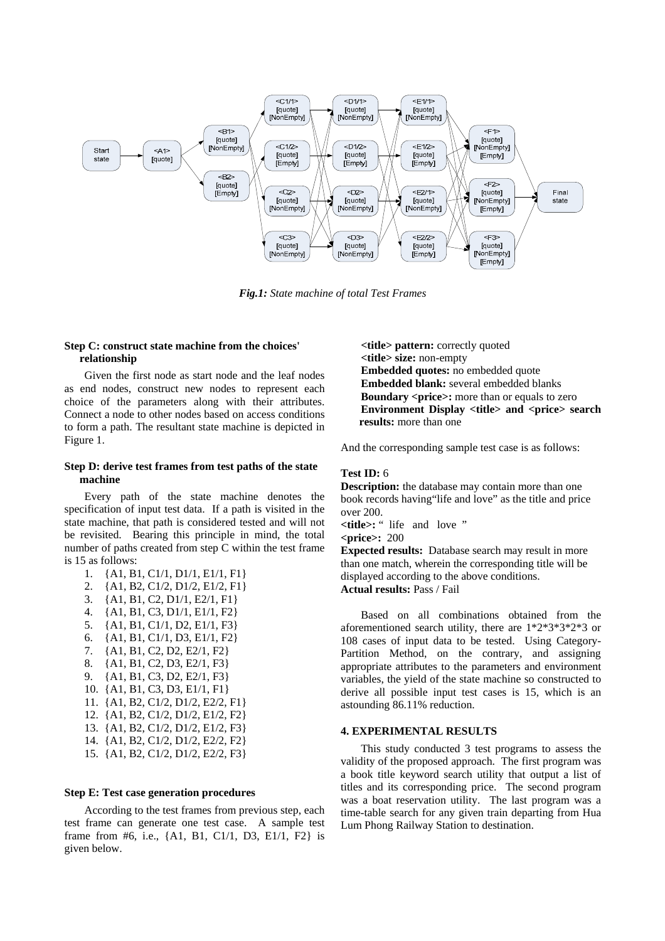

*Fig.1: State machine of total Test Frames*

# **Step C: construct state machine from the choices' relationship**

Given the first node as start node and the leaf nodes as end nodes, construct new nodes to represent each choice of the parameters along with their attributes. Connect a node to other nodes based on access conditions to form a path. The resultant state machine is depicted in Figure 1.

# **Step D: derive test frames from test paths of the state machine**

Every path of the state machine denotes the specification of input test data. If a path is visited in the state machine, that path is considered tested and will not be revisited. Bearing this principle in mind, the total number of paths created from step C within the test frame is 15 as follows:

1. {A1, B1, C1/1, D1/1, E1/1, F1} 2. {A1, B2, C1/2, D1/2, E1/2, F1} 3. {A1, B1, C2, D1/1, E2/1, F1} 4. {A1, B1, C3, D1/1, E1/1, F2} 5. {A1, B1, C1/1, D2, E1/1, F3} 6. {A1, B1, C1/1, D3, E1/1, F2} 7. {A1, B1, C2, D2, E2/1, F2} 8. {A1, B1, C2, D3, E2/1, F3} 9. {A1, B1, C3, D2, E2/1, F3} 10. {A1, B1, C3, D3, E1/1, F1} 11. {A1, B2, C1/2, D1/2, E2/2, F1} 12. {A1, B2, C1/2, D1/2, E1/2, F2} 13. {A1, B2, C1/2, D1/2, E1/2, F3} 14. {A1, B2, C1/2, D1/2, E2/2, F2} 15. {A1, B2, C1/2, D1/2, E2/2, F3}

### **Step E: Test case generation procedures**

According to the test frames from previous step, each test frame can generate one test case. A sample test frame from #6, i.e., {A1, B1, C1/1, D3, E1/1, F2} is given below.

**<title> pattern:** correctly quoted **<title> size:** non-empty **Embedded quotes:** no embedded quote **Embedded blank:** several embedded blanks **Boundary <price>:** more than or equals to zero **Environment Display <title> and <price> search results:** more than one

And the corresponding sample test case is as follows:

### **Test ID:** 6

**Description:** the database may contain more than one book records having"life and love" as the title and price over 200. **<title>:** " life and love " **<price>:** 200 **Expected results:** Database search may result in more than one match, wherein the corresponding title will be

displayed according to the above conditions.

**Actual results:** Pass / Fail

Based on all combinations obtained from the aforementioned search utility, there are 1\*2\*3\*3\*2\*3 or 108 cases of input data to be tested. Using Category-Partition Method, on the contrary, and assigning appropriate attributes to the parameters and environment variables, the yield of the state machine so constructed to derive all possible input test cases is 15, which is an astounding 86.11% reduction.

# **4. EXPERIMENTAL RESULTS**

This study conducted 3 test programs to assess the validity of the proposed approach. The first program was a book title keyword search utility that output a list of titles and its corresponding price. The second program was a boat reservation utility. The last program was a time-table search for any given train departing from Hua Lum Phong Railway Station to destination.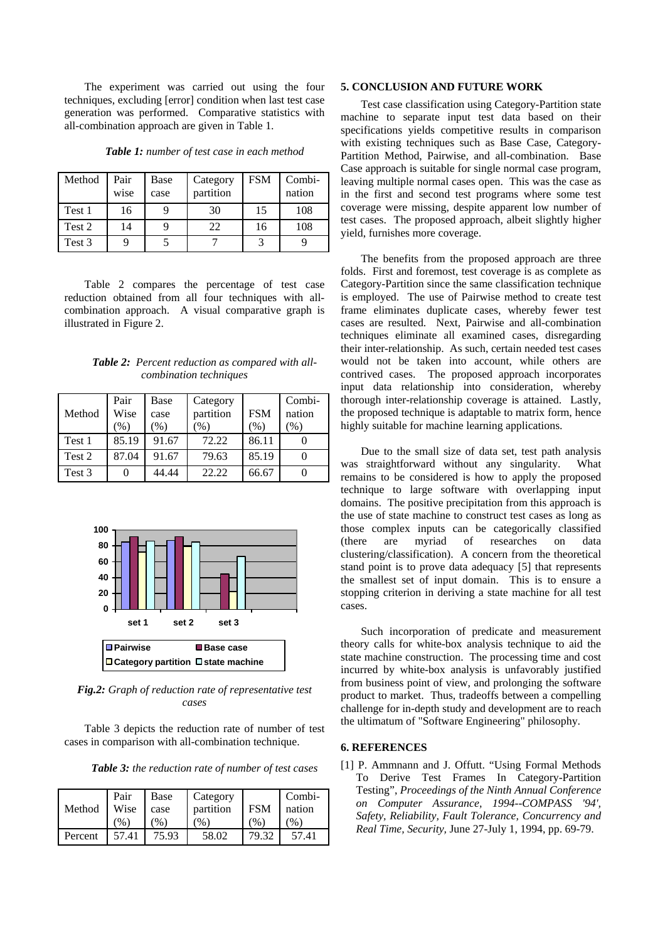The experiment was carried out using the four techniques, excluding [error] condition when last test case generation was performed. Comparative statistics with all-combination approach are given in Table 1.

| Table 1: number of test case in each method |  |  |  |
|---------------------------------------------|--|--|--|
|                                             |  |  |  |

| Method | Pair<br>wise | Base<br>case | Category<br>partition | <b>FSM</b> | Combi-<br>nation |
|--------|--------------|--------------|-----------------------|------------|------------------|
| Test 1 | 16           |              | 30                    | 15         | 108              |
| Test 2 | 14           |              | 22                    | 16         | 108              |
| Test 3 |              |              |                       | 2          |                  |

Table 2 compares the percentage of test case reduction obtained from all four techniques with allcombination approach. A visual comparative graph is illustrated in Figure 2.

*Table 2: Percent reduction as compared with allcombination techniques* 

| Method | Pair<br>Wise<br>(%) | Base<br>case<br>$\frac{9}{6}$ | Category<br>partition<br>(%) | <b>FSM</b><br>$(\%)$ | Combi-<br>nation<br>(%) |
|--------|---------------------|-------------------------------|------------------------------|----------------------|-------------------------|
| Test 1 | 85.19               | 91.67                         | 72.22                        | 86.11                |                         |
| Test 2 | 87.04               | 91.67                         | 79.63                        | 85.19                |                         |
| Test 3 |                     | 44.44                         | 22.22                        | 66.67                |                         |



*Fig.2: Graph of reduction rate of representative test cases*

Table 3 depicts the reduction rate of number of test cases in comparison with all-combination technique.

*Table 3: the reduction rate of number of test cases* 

| Method  | Pair<br>Wise<br>$\%$ | Base<br>case<br>(96) | Category<br>partition<br>(9) | <b>FSM</b><br>(% ) | Combi-<br>nation<br>$\frac{9}{6}$ |
|---------|----------------------|----------------------|------------------------------|--------------------|-----------------------------------|
| Percent | 57.41                | 75.93                | 58.02                        | 79.32              | 57.41                             |

### **5. CONCLUSION AND FUTURE WORK**

Test case classification using Category-Partition state machine to separate input test data based on their specifications yields competitive results in comparison with existing techniques such as Base Case, Category-Partition Method, Pairwise, and all-combination. Base Case approach is suitable for single normal case program, leaving multiple normal cases open. This was the case as in the first and second test programs where some test coverage were missing, despite apparent low number of test cases. The proposed approach, albeit slightly higher yield, furnishes more coverage.

The benefits from the proposed approach are three folds. First and foremost, test coverage is as complete as Category-Partition since the same classification technique is employed. The use of Pairwise method to create test frame eliminates duplicate cases, whereby fewer test cases are resulted. Next, Pairwise and all-combination techniques eliminate all examined cases, disregarding their inter-relationship. As such, certain needed test cases would not be taken into account, while others are contrived cases. The proposed approach incorporates input data relationship into consideration, whereby thorough inter-relationship coverage is attained. Lastly, the proposed technique is adaptable to matrix form, hence highly suitable for machine learning applications.

Due to the small size of data set, test path analysis was straightforward without any singularity. What remains to be considered is how to apply the proposed technique to large software with overlapping input domains. The positive precipitation from this approach is the use of state machine to construct test cases as long as those complex inputs can be categorically classified (there are myriad of researches on data clustering/classification). A concern from the theoretical stand point is to prove data adequacy [5] that represents the smallest set of input domain. This is to ensure a stopping criterion in deriving a state machine for all test cases.

Such incorporation of predicate and measurement theory calls for white-box analysis technique to aid the state machine construction. The processing time and cost incurred by white-box analysis is unfavorably justified from business point of view, and prolonging the software product to market. Thus, tradeoffs between a compelling challenge for in-depth study and development are to reach the ultimatum of "Software Engineering" philosophy.

### **6. REFERENCES**

[1] P. Ammnann and J. Offutt. "Using Formal Methods To Derive Test Frames In Category-Partition Testing", *Proceedings of the Ninth Annual Conference on Computer Assurance, 1994--COMPASS '94', Safety, Reliability, Fault Tolerance, Concurrency and Real Time, Security,* June 27-July 1, 1994, pp. 69-79.